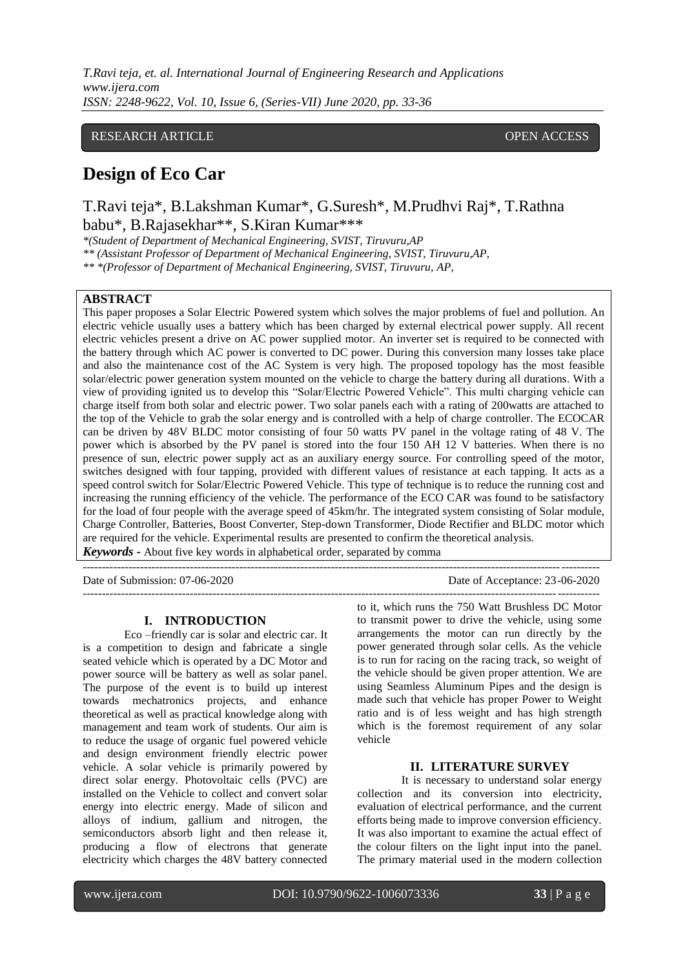*T.Ravi teja, et. al. International Journal of Engineering Research and Applications www.ijera.com ISSN: 2248-9622, Vol. 10, Issue 6, (Series-VII) June 2020, pp. 33-36*

# RESEARCH ARTICLE **CONSERVERS** OPEN ACCESS

# **Design of Eco Car**

T.Ravi teja\*, B.Lakshman Kumar\*, G.Suresh\*, M.Prudhvi Raj\*, T.Rathna babu\*, B.Rajasekhar\*\*, S.Kiran Kumar\*\*\*

*\*(Student of Department of Mechanical Engineering, SVIST, Tiruvuru,AP*

*\*\* (Assistant Professor of Department of Mechanical Engineering, SVIST, Tiruvuru,AP,* 

*\*\* \*(Professor of Department of Mechanical Engineering, SVIST, Tiruvuru, AP,* 

# **ABSTRACT**

This paper proposes a Solar Electric Powered system which solves the major problems of fuel and pollution. An electric vehicle usually uses a battery which has been charged by external electrical power supply. All recent electric vehicles present a drive on AC power supplied motor. An inverter set is required to be connected with the battery through which AC power is converted to DC power. During this conversion many losses take place and also the maintenance cost of the AC System is very high. The proposed topology has the most feasible solar/electric power generation system mounted on the vehicle to charge the battery during all durations. With a view of providing ignited us to develop this "Solar/Electric Powered Vehicle". This multi charging vehicle can charge itself from both solar and electric power. Two solar panels each with a rating of 200watts are attached to the top of the Vehicle to grab the solar energy and is controlled with a help of charge controller. The ECOCAR can be driven by 48V BLDC motor consisting of four 50 watts PV panel in the voltage rating of 48 V. The power which is absorbed by the PV panel is stored into the four 150 AH 12 V batteries. When there is no presence of sun, electric power supply act as an auxiliary energy source. For controlling speed of the motor, switches designed with four tapping, provided with different values of resistance at each tapping. It acts as a speed control switch for Solar/Electric Powered Vehicle. This type of technique is to reduce the running cost and increasing the running efficiency of the vehicle. The performance of the ECO CAR was found to be satisfactory for the load of four people with the average speed of 45km/hr. The integrated system consisting of Solar module, Charge Controller, Batteries, Boost Converter, Step-down Transformer, Diode Rectifier and BLDC motor which are required for the vehicle. Experimental results are presented to confirm the theoretical analysis. *Keywords* **-** About five key words in alphabetical order, separated by comma

---------------------------------------------------------------------------------------------------------------------------------------

Date of Submission: 07-06-2020 Date of Acceptance: 23-06-2020

### **I. INTRODUCTION**

Eco –friendly car is solar and electric car. It is a competition to design and fabricate a single seated vehicle which is operated by a DC Motor and power source will be battery as well as solar panel. The purpose of the event is to build up interest towards mechatronics projects, and enhance theoretical as well as practical knowledge along with management and team work of students. Our aim is to reduce the usage of organic fuel powered vehicle and design environment friendly electric power vehicle. A solar vehicle is primarily powered by direct solar energy. Photovoltaic cells (PVC) are installed on the Vehicle to collect and convert solar energy into electric energy. Made of silicon and alloys of indium, gallium and nitrogen, the semiconductors absorb light and then release it, producing a flow of electrons that generate electricity which charges the 48V battery connected

-------------------------------------------------------------------------------------------------------------------------------------- to it, which runs the 750 Watt Brushless DC Motor to transmit power to drive the vehicle, using some arrangements the motor can run directly by the power generated through solar cells. As the vehicle is to run for racing on the racing track, so weight of the vehicle should be given proper attention. We are using Seamless Aluminum Pipes and the design is made such that vehicle has proper Power to Weight ratio and is of less weight and has high strength which is the foremost requirement of any solar vehicle

# **II. LITERATURE SURVEY**

It is necessary to understand solar energy collection and its conversion into electricity, evaluation of electrical performance, and the current efforts being made to improve conversion efficiency. It was also important to examine the actual effect of the colour filters on the light input into the panel. The primary material used in the modern collection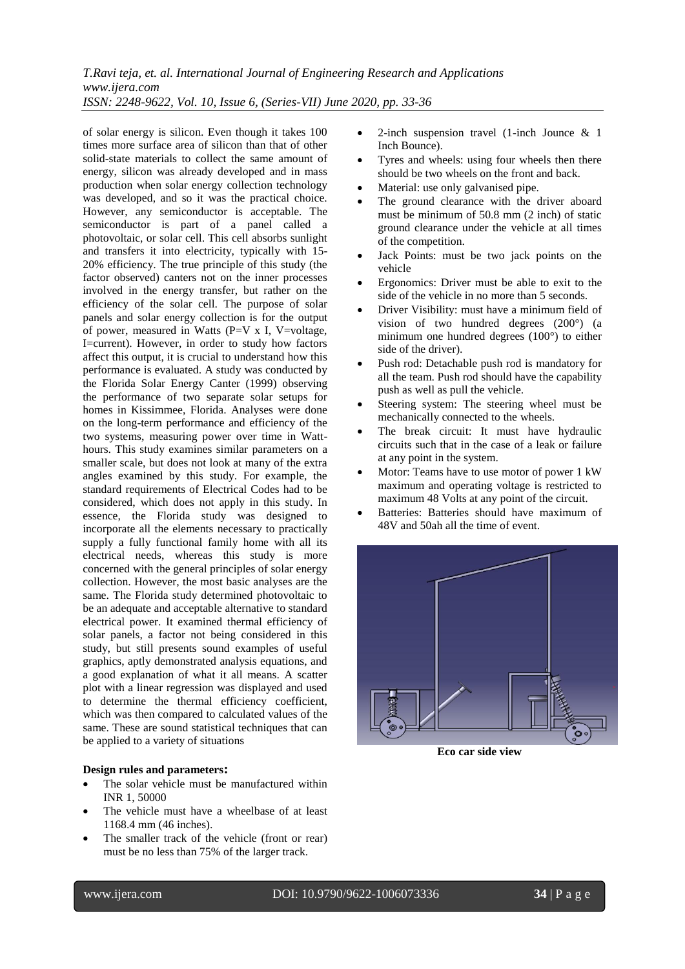*T.Ravi teja, et. al. International Journal of Engineering Research and Applications www.ijera.com ISSN: 2248-9622, Vol. 10, Issue 6, (Series-VII) June 2020, pp. 33-36*

of solar energy is silicon. Even though it takes 100 times more surface area of silicon than that of other solid-state materials to collect the same amount of energy, silicon was already developed and in mass production when solar energy collection technology was developed, and so it was the practical choice. However, any semiconductor is acceptable. The semiconductor is part of a panel called a photovoltaic, or solar cell. This cell absorbs sunlight and transfers it into electricity, typically with 15- 20% efficiency. The true principle of this study (the factor observed) canters not on the inner processes involved in the energy transfer, but rather on the efficiency of the solar cell. The purpose of solar panels and solar energy collection is for the output of power, measured in Watts (P=V x I, V=voltage, I=current). However, in order to study how factors affect this output, it is crucial to understand how this performance is evaluated. A study was conducted by the Florida Solar Energy Canter (1999) observing the performance of two separate solar setups for homes in Kissimmee, Florida. Analyses were done on the long-term performance and efficiency of the two systems, measuring power over time in Watthours. This study examines similar parameters on a smaller scale, but does not look at many of the extra angles examined by this study. For example, the standard requirements of Electrical Codes had to be considered, which does not apply in this study. In essence, the Florida study was designed to incorporate all the elements necessary to practically supply a fully functional family home with all its electrical needs, whereas this study is more concerned with the general principles of solar energy collection. However, the most basic analyses are the same. The Florida study determined photovoltaic to be an adequate and acceptable alternative to standard electrical power. It examined thermal efficiency of solar panels, a factor not being considered in this study, but still presents sound examples of useful graphics, aptly demonstrated analysis equations, and a good explanation of what it all means. A scatter plot with a linear regression was displayed and used to determine the thermal efficiency coefficient, which was then compared to calculated values of the same. These are sound statistical techniques that can be applied to a variety of situations

### **Design rules and parameters:**

- The solar vehicle must be manufactured within INR 1, 50000
- The vehicle must have a wheelbase of at least 1168.4 mm (46 inches).
- The smaller track of the vehicle (front or rear) must be no less than 75% of the larger track.
- 2-inch suspension travel (1-inch Jounce & 1 Inch Bounce).
- Tyres and wheels: using four wheels then there should be two wheels on the front and back.
- Material: use only galvanised pipe.
- The ground clearance with the driver aboard must be minimum of 50.8 mm (2 inch) of static ground clearance under the vehicle at all times of the competition.
- Jack Points: must be two jack points on the vehicle
- Ergonomics: Driver must be able to exit to the side of the vehicle in no more than 5 seconds.
- Driver Visibility: must have a minimum field of vision of two hundred degrees (200°) (a minimum one hundred degrees (100°) to either side of the driver).
- Push rod: Detachable push rod is mandatory for all the team. Push rod should have the capability push as well as pull the vehicle.
- Steering system: The steering wheel must be mechanically connected to the wheels.
- The break circuit: It must have hydraulic circuits such that in the case of a leak or failure at any point in the system.
- Motor: Teams have to use motor of power 1 kW maximum and operating voltage is restricted to maximum 48 Volts at any point of the circuit.
- Batteries: Batteries should have maximum of 48V and 50ah all the time of event.



**Eco car side view**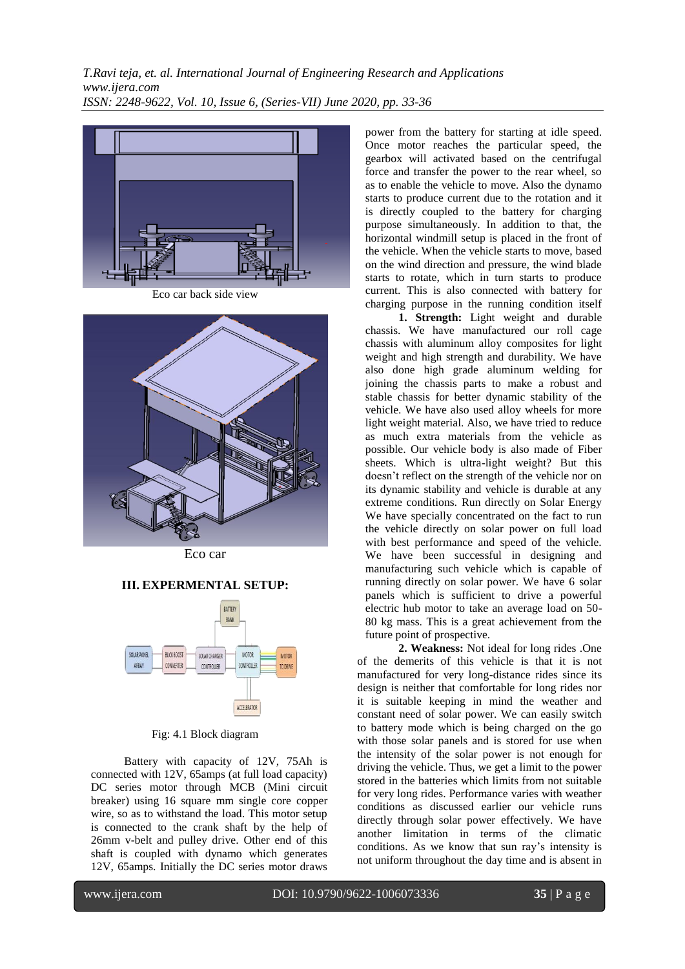

Eco car back side view



Eco car

## **III. EXPERMENTAL SETUP:**



Fig: 4.1 Block diagram

Battery with capacity of 12V, 75Ah is connected with 12V, 65amps (at full load capacity) DC series motor through MCB (Mini circuit breaker) using 16 square mm single core copper wire, so as to withstand the load. This motor setup is connected to the crank shaft by the help of 26mm v-belt and pulley drive. Other end of this shaft is coupled with dynamo which generates 12V, 65amps. Initially the DC series motor draws power from the battery for starting at idle speed. Once motor reaches the particular speed, the gearbox will activated based on the centrifugal force and transfer the power to the rear wheel, so as to enable the vehicle to move. Also the dynamo starts to produce current due to the rotation and it is directly coupled to the battery for charging purpose simultaneously. In addition to that, the horizontal windmill setup is placed in the front of the vehicle. When the vehicle starts to move, based on the wind direction and pressure, the wind blade starts to rotate, which in turn starts to produce current. This is also connected with battery for charging purpose in the running condition itself

**1. Strength:** Light weight and durable chassis. We have manufactured our roll cage chassis with aluminum alloy composites for light weight and high strength and durability. We have also done high grade aluminum welding for joining the chassis parts to make a robust and stable chassis for better dynamic stability of the vehicle. We have also used alloy wheels for more light weight material. Also, we have tried to reduce as much extra materials from the vehicle as possible. Our vehicle body is also made of Fiber sheets. Which is ultra-light weight? But this doesn't reflect on the strength of the vehicle nor on its dynamic stability and vehicle is durable at any extreme conditions. Run directly on Solar Energy We have specially concentrated on the fact to run the vehicle directly on solar power on full load with best performance and speed of the vehicle. We have been successful in designing and manufacturing such vehicle which is capable of running directly on solar power. We have 6 solar panels which is sufficient to drive a powerful electric hub motor to take an average load on 50- 80 kg mass. This is a great achievement from the future point of prospective.

**2. Weakness:** Not ideal for long rides .One of the demerits of this vehicle is that it is not manufactured for very long-distance rides since its design is neither that comfortable for long rides nor it is suitable keeping in mind the weather and constant need of solar power. We can easily switch to battery mode which is being charged on the go with those solar panels and is stored for use when the intensity of the solar power is not enough for driving the vehicle. Thus, we get a limit to the power stored in the batteries which limits from not suitable for very long rides. Performance varies with weather conditions as discussed earlier our vehicle runs directly through solar power effectively. We have another limitation in terms of the climatic conditions. As we know that sun ray's intensity is not uniform throughout the day time and is absent in